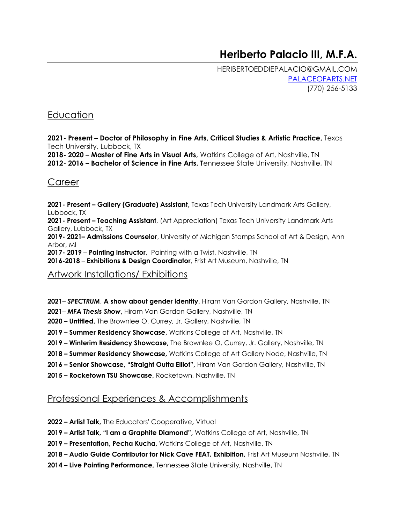# **Heriberto Palacio III, M.F.A.**

HERIBERTOEDDIEPALACIO@GMAIL.COM [PALACEOFARTS.NET](https://www.palaceofarts.net/)  (770) 256-5133

### **Education**

**2021- Present – Doctor of Philosophy in Fine Arts, Critical Studies & Artistic Practice,** Texas Tech University, Lubbock, TX

**2018- 2020 – Master of Fine Arts in Visual Arts,** Watkins College of Art, Nashville, TN **2012- 2016 – Bachelor of Science in Fine Arts, T**ennessee State University, Nashville, TN

#### **Career**

**2021- Present – Gallery (Graduate) Assistant,** Texas Tech University Landmark Arts Gallery, Lubbock, TX **2021- Present – Teaching Assistant**, (Art Appreciation) Texas Tech University Landmark Arts Gallery, Lubbock, TX **2019- 2021– Admissions Counselor**, University of Michigan Stamps School of Art & Design, Ann Arbor, MI **2017- 2019** – **Painting Instructor**, Painting with a Twist, Nashville, TN **2016-2018** – **Exhibitions & Design Coordinator**, Frist Art Museum, Nashville, TN

### Artwork Installations/ Exhibitions

- **2021** *SPECTRUM*, **A show about gender identity,** Hiram Van Gordon Gallery, Nashville, TN
- **2021** *MFA Thesis Show***,** Hiram Van Gordon Gallery, Nashville, TN
- **2020 – Untitled,** The Brownlee O. Currey, Jr. Gallery, Nashville, TN
- **2019 – Summer Residency Showcase,** Watkins College of Art, Nashville, TN
- **2019 – Winterim Residency Showcase,** The Brownlee O. Currey, Jr. Gallery, Nashville, TN
- **2018 – Summer Residency Showcase,** Watkins College of Art Gallery Node, Nashville, TN
- **2016 – Senior Showcase, "Straight Outta Elliot",** Hiram Van Gordon Gallery, Nashville, TN
- **2015 – Rocketown TSU Showcase,** Rocketown, Nashville, TN

#### Professional Experiences & Accomplishments

- **2022 – Artist Talk,** The Educators' Cooperative**,** Virtual
- **2019 – Artist Talk, "I am a Graphite Diamond",** Watkins College of Art, Nashville, TN
- **2019 – Presentation, Pecha Kucha,** Watkins College of Art, Nashville, TN
- **2018 – Audio Guide Contributor for Nick Cave FEAT. Exhibition,** Frist Art Museum Nashville, TN
- **2014 – Live Painting Performance,** Tennessee State University, Nashville, TN